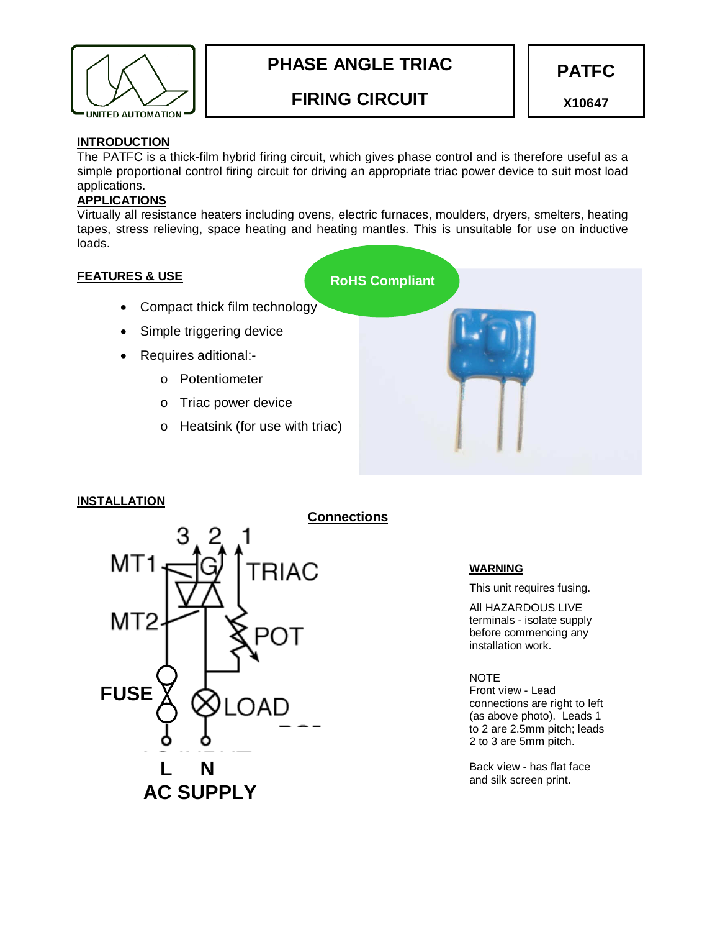

# **PHASE ANGLE TRIAC**

# **FIRING CIRCUIT**

**PATFC** 

**X10647** 

#### **INTRODUCTION**

The PATFC is a thick-film hybrid firing circuit, which gives phase control and is therefore useful as a simple proportional control firing circuit for driving an appropriate triac power device to suit most load applications.

### **APPLICATIONS**

Virtually all resistance heaters including ovens, electric furnaces, moulders, dryers, smelters, heating tapes, stress relieving, space heating and heating mantles. This is unsuitable for use on inductive loads.

#### **FEATURES & USE**

- Compact thick film technology
- Simple triggering device
- Requires aditional:
	- o Potentiometer
	- o Triac power device
	- o Heatsink (for use with triac)



#### **INSTALLATION**



#### **WARNING**

This unit requires fusing.

All HAZARDOUS LIVE terminals - isolate supply before commencing any installation work.

#### NOTE

Front view - Lead connections are right to left (as above photo). Leads 1 to 2 are 2.5mm pitch; leads 2 to 3 are 5mm pitch.

Back view - has flat face and silk screen print.